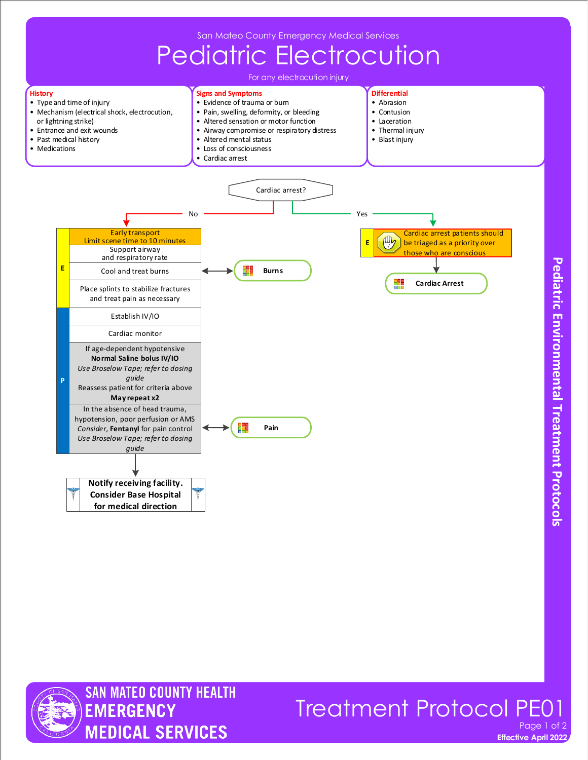

**Pediatric Environmental Treatment Protocols** 



**Effective April 2022** Treatment Protocol PE01 Page 1 of 2